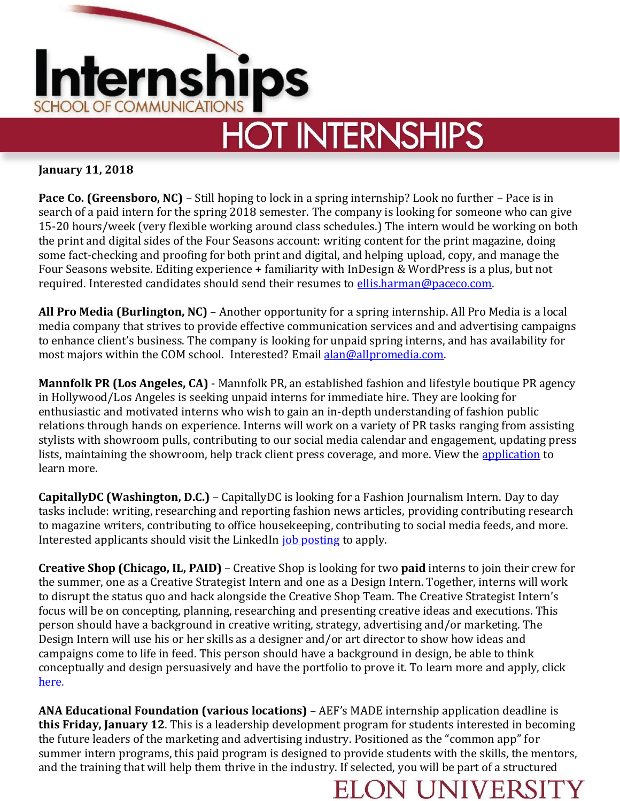

## **January 11, 2018**

**Pace Co. (Greensboro, NC)** – Still hoping to lock in a spring internship? Look no further – Pace is in search of a paid intern for the spring 2018 semester. The company is looking for someone who can give 15-20 hours/week (very flexible working around class schedules.) The intern would be working on both the print and digital sides of the Four Seasons account: writing content for the print magazine, doing some fact-checking and proofing for both print and digital, and helping upload, copy, and manage the Four Seasons website. Editing experience + familiarity with InDesign & WordPress is a plus, but not required. Interested candidates should send their resumes to [ellis.harman@paceco.com.](mailto:ellis.harman@paceco.com)

**All Pro Media (Burlington, NC)** – Another opportunity for a spring internship. All Pro Media is a local media company that strives to provide effective communication services and and advertising campaigns to enhance client's business. The company is looking for unpaid spring interns, and has availability for most majors within the COM school. Interested? Email [alan@allpromedia.com.](mailto:alan@allpromedia.com)

**Mannfolk PR (Los Angeles, CA)** - Mannfolk PR, an established fashion and lifestyle boutique PR agency in Hollywood/Los Angeles is seeking unpaid interns for immediate hire. They are looking for enthusiastic and motivated interns who wish to gain an in-depth understanding of fashion public relations through hands on experience. Interns will work on a variety of PR tasks ranging from assisting stylists with showroom pulls, contributing to our social media calendar and engagement, updating press lists, maintaining the showroom, help track client press coverage, and more. View the [application](http://www.internships.com/public-relations/Fashion-Social-Media-Public-Relations-Intern-I8084208) to learn more.

**CapitallyDC (Washington, D.C.)** – CapitallyDC is looking for a Fashion Journalism Intern. Day to day tasks include: writing, researching and reporting fashion news articles, providing contributing research to magazine writers, contributing to office housekeeping, contributing to social media feeds, and more. Interested applicants should visit the LinkedIn [job posting](https://www.linkedin.com/jobs/view/383146492/?refId=1515514837857&trk=d_flagship3_search_srp_jobs&lipi=urn%3Ali%3Apage%3Ad_flagship3_search_srp_jobs%3BJokYH3OZS%2FubUrWWYujRTA%3D%3D&licu=urn%3Ali%3Acontrol%3Ad_flagship3_search_srp_jobs-A_jobssearc) to apply.

**Creative Shop (Chicago, IL, PAID)** – Creative Shop is looking for two **paid** interns to join their crew for the summer, one as a Creative Strategist Intern and one as a Design Intern. Together, interns will work to disrupt the status quo and hack alongside the Creative Shop Team. The Creative Strategist Intern's focus will be on concepting, planning, researching and presenting creative ideas and executions. This person should have a background in creative writing, strategy, advertising and/or marketing. The Design Intern will use his or her skills as a designer and/or art director to show how ideas and campaigns come to life in feed. This person should have a background in design, be able to think conceptually and design persuasively and have the portfolio to prove it. To learn more and apply, click [here.](https://www.facebook.com/careers/jobs/a0I1H00000LC7ZKUA1/)

**ANA Educational Foundation (various locations)** – AEF's MADE internship application deadline is **this Friday, January 12**. This is a leadership development program for students interested in becoming the future leaders of the marketing and advertising industry. Positioned as the "common app" for summer intern programs, this paid program is designed to provide students with the skills, the mentors, and the training that will help them thrive in the industry. If selected, you will be part of a structured

## **DN UNI**